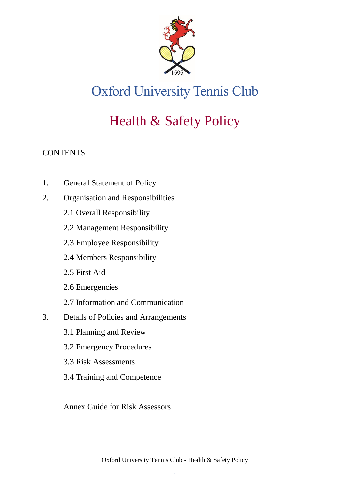

# Oxford University Tennis Club

# Health & Safety Policy

# **CONTENTS**

- 1. General Statement of Policy
- 2. Organisation and Responsibilities
	- 2.1 Overall Responsibility
	- 2.2 Management Responsibility
	- 2.3 Employee Responsibility
	- 2.4 Members Responsibility
	- 2.5 First Aid
	- 2.6 Emergencies
	- 2.7 Information and Communication
- 3. Details of Policies and Arrangements
	- 3.1 Planning and Review
	- 3.2 Emergency Procedures
	- 3.3 Risk Assessments
	- 3.4 Training and Competence

Annex Guide for Risk Assessors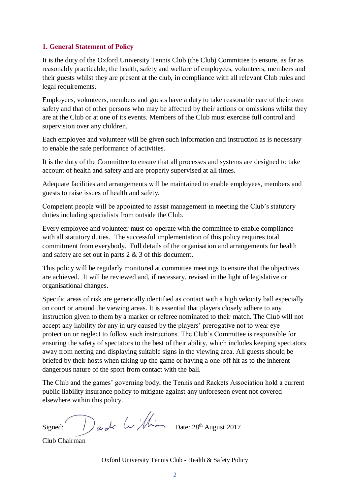# **1. General Statement of Policy**

It is the duty of the Oxford University Tennis Club (the Club) Committee to ensure, as far as reasonably practicable, the health, safety and welfare of employees, volunteers, members and their guests whilst they are present at the club, in compliance with all relevant Club rules and legal requirements.

Employees, volunteers, members and guests have a duty to take reasonable care of their own safety and that of other persons who may be affected by their actions or omissions whilst they are at the Club or at one of its events. Members of the Club must exercise full control and supervision over any children.

Each employee and volunteer will be given such information and instruction as is necessary to enable the safe performance of activities.

It is the duty of the Committee to ensure that all processes and systems are designed to take account of health and safety and are properly supervised at all times.

Adequate facilities and arrangements will be maintained to enable employees, members and guests to raise issues of health and safety.

Competent people will be appointed to assist management in meeting the Club's statutory duties including specialists from outside the Club.

Every employee and volunteer must co-operate with the committee to enable compliance with all statutory duties. The successful implementation of this policy requires total commitment from everybody. Full details of the organisation and arrangements for health and safety are set out in parts 2 & 3 of this document.

This policy will be regularly monitored at committee meetings to ensure that the objectives are achieved. It will be reviewed and, if necessary, revised in the light of legislative or organisational changes.

Specific areas of risk are generically identified as contact with a high velocity ball especially on court or around the viewing areas. It is essential that players closely adhere to any instruction given to them by a marker or referee nominated to their match. The Club will not accept any liability for any injury caused by the players' prerogative not to wear eye protection or neglect to follow such instructions. The Club's Committee is responsible for ensuring the safety of spectators to the best of their ability, which includes keeping spectators away from netting and displaying suitable signs in the viewing area. All guests should be briefed by their hosts when taking up the game or having a one-off hit as to the inherent dangerous nature of the sport from contact with the ball.

The Club and the games' governing body, the Tennis and Rackets Association hold a current public liability insurance policy to mitigate against any unforeseen event not covered elsewhere within this policy.

Signed:  $\bigcap_{a}^{\bullet}$  and  $\left\{\ldots\right\}/\hspace{-2.1cm}\downarrow$  Date: 28<sup>th</sup> August 2017

Club Chairman

Oxford University Tennis Club - Health & Safety Policy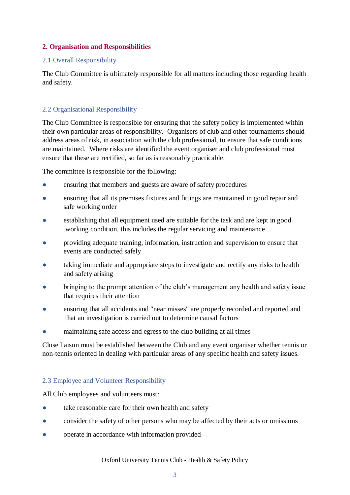# **2. Organisation and Responsibilities**

# 2.1 Overall Responsibility

The Club Committee is ultimately responsible for all matters including those regarding health and safety.

# 2.2 Organisational Responsibility

The Club Committee is responsible for ensuring that the safety policy is implemented within their own particular areas of responsibility. Organisers of club and other tournaments should address areas of risk, in association with the club professional, to ensure that safe conditions are maintained. Where risks are identified the event organiser and club professional must ensure that these are rectified, so far as is reasonably practicable.

The committee is responsible for the following:

- ensuring that members and guests are aware of safety procedures
- ensuring that all its premises fixtures and fittings are maintained in good repair and safe working order
- establishing that all equipment used are suitable for the task and are kept in good working condition, this includes the regular servicing and maintenance
- providing adequate training, information, instruction and supervision to ensure that events are conducted safely
- taking immediate and appropriate steps to investigate and rectify any risks to health and safety arising
- bringing to the prompt attention of the club's management any health and safety issue that requires their attention
- ensuring that all accidents and "near misses" are properly recorded and reported and that an investigation is carried out to determine causal factors
- maintaining safe access and egress to the club building at all times

Close liaison must be established between the Club and any event organiser whether tennis or non-tennis oriented in dealing with particular areas of any specific health and safety issues.

# 2.3 Employee and Volunteer Responsibility

All Club employees and volunteers must:

- take reasonable care for their own health and safety
- consider the safety of other persons who may be affected by their acts or omissions
- operate in accordance with information provided

Oxford University Tennis Club - Health & Safety Policy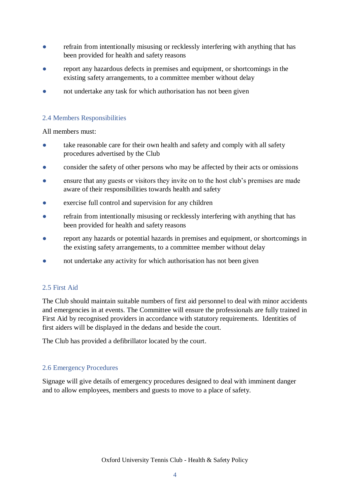- refrain from intentionally misusing or recklessly interfering with anything that has been provided for health and safety reasons
- report any hazardous defects in premises and equipment, or shortcomings in the existing safety arrangements, to a committee member without delay
- not undertake any task for which authorisation has not been given

# 2.4 Members Responsibilities

All members must:

- take reasonable care for their own health and safety and comply with all safety procedures advertised by the Club
- consider the safety of other persons who may be affected by their acts or omissions
- ensure that any guests or visitors they invite on to the host club's premises are made aware of their responsibilities towards health and safety
- exercise full control and supervision for any children
- refrain from intentionally misusing or recklessly interfering with anything that has been provided for health and safety reasons
- report any hazards or potential hazards in premises and equipment, or shortcomings in the existing safety arrangements, to a committee member without delay
- not undertake any activity for which authorisation has not been given

# 2.5 First Aid

The Club should maintain suitable numbers of first aid personnel to deal with minor accidents and emergencies in at events. The Committee will ensure the professionals are fully trained in First Aid by recognised providers in accordance with statutory requirements. Identities of first aiders will be displayed in the dedans and beside the court.

The Club has provided a defibrillator located by the court.

#### 2.6 Emergency Procedures

Signage will give details of emergency procedures designed to deal with imminent danger and to allow employees, members and guests to move to a place of safety.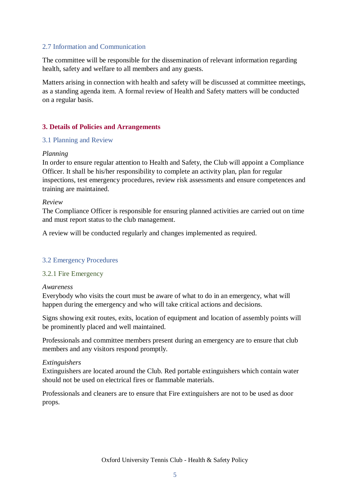# 2.7 Information and Communication

The committee will be responsible for the dissemination of relevant information regarding health, safety and welfare to all members and any guests.

Matters arising in connection with health and safety will be discussed at committee meetings, as a standing agenda item. A formal review of Health and Safety matters will be conducted on a regular basis.

# **3. Details of Policies and Arrangements**

# 3.1 Planning and Review

# *Planning*

In order to ensure regular attention to Health and Safety, the Club will appoint a Compliance Officer. It shall be his/her responsibility to complete an activity plan, plan for regular inspections, test emergency procedures, review risk assessments and ensure competences and training are maintained.

#### *Review*

The Compliance Officer is responsible for ensuring planned activities are carried out on time and must report status to the club management.

A review will be conducted regularly and changes implemented as required.

# 3.2 Emergency Procedures

#### 3.2.1 Fire Emergency

#### *Awareness*

Everybody who visits the court must be aware of what to do in an emergency, what will happen during the emergency and who will take critical actions and decisions.

Signs showing exit routes, exits, location of equipment and location of assembly points will be prominently placed and well maintained.

Professionals and committee members present during an emergency are to ensure that club members and any visitors respond promptly.

#### *Extinguishers*

Extinguishers are located around the Club. Red portable extinguishers which contain water should not be used on electrical fires or flammable materials.

Professionals and cleaners are to ensure that Fire extinguishers are not to be used as door props.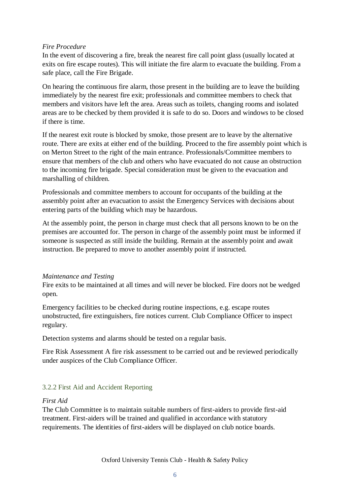# *Fire Procedure*

In the event of discovering a fire, break the nearest fire call point glass (usually located at exits on fire escape routes). This will initiate the fire alarm to evacuate the building. From a safe place, call the Fire Brigade.

On hearing the continuous fire alarm, those present in the building are to leave the building immediately by the nearest fire exit; professionals and committee members to check that members and visitors have left the area. Areas such as toilets, changing rooms and isolated areas are to be checked by them provided it is safe to do so. Doors and windows to be closed if there is time.

If the nearest exit route is blocked by smoke, those present are to leave by the alternative route. There are exits at either end of the building. Proceed to the fire assembly point which is on Merton Street to the right of the main entrance. Professionals/Committee members to ensure that members of the club and others who have evacuated do not cause an obstruction to the incoming fire brigade. Special consideration must be given to the evacuation and marshalling of children.

Professionals and committee members to account for occupants of the building at the assembly point after an evacuation to assist the Emergency Services with decisions about entering parts of the building which may be hazardous.

At the assembly point, the person in charge must check that all persons known to be on the premises are accounted for. The person in charge of the assembly point must be informed if someone is suspected as still inside the building. Remain at the assembly point and await instruction. Be prepared to move to another assembly point if instructed.

# *Maintenance and Testing*

Fire exits to be maintained at all times and will never be blocked. Fire doors not be wedged open.

Emergency facilities to be checked during routine inspections, e.g. escape routes unobstructed, fire extinguishers, fire notices current. Club Compliance Officer to inspect regulary.

Detection systems and alarms should be tested on a regular basis.

Fire Risk Assessment A fire risk assessment to be carried out and be reviewed periodically under auspices of the Club Compliance Officer.

# 3.2.2 First Aid and Accident Reporting

# *First Aid*

The Club Committee is to maintain suitable numbers of first-aiders to provide first-aid treatment. First-aiders will be trained and qualified in accordance with statutory requirements. The identities of first-aiders will be displayed on club notice boards.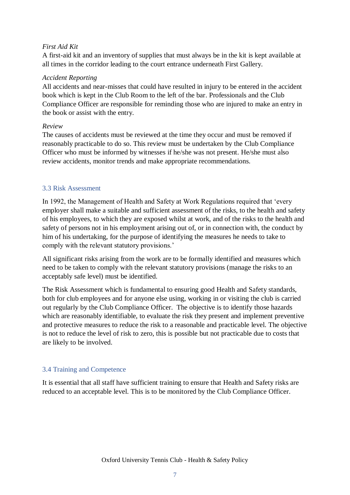# *First Aid Kit*

A first-aid kit and an inventory of supplies that must always be in the kit is kept available at all times in the corridor leading to the court entrance underneath First Gallery.

# *Accident Reporting*

All accidents and near-misses that could have resulted in injury to be entered in the accident book which is kept in the Club Room to the left of the bar. Professionals and the Club Compliance Officer are responsible for reminding those who are injured to make an entry in the book or assist with the entry.

# *Review*

The causes of accidents must be reviewed at the time they occur and must be removed if reasonably practicable to do so. This review must be undertaken by the Club Compliance Officer who must be informed by witnesses if he/she was not present. He/she must also review accidents, monitor trends and make appropriate recommendations.

# 3.3 Risk Assessment

In 1992, the Management of Health and Safety at Work Regulations required that 'every employer shall make a suitable and sufficient assessment of the risks, to the health and safety of his employees, to which they are exposed whilst at work, and of the risks to the health and safety of persons not in his employment arising out of, or in connection with, the conduct by him of his undertaking, for the purpose of identifying the measures he needs to take to comply with the relevant statutory provisions.'

All significant risks arising from the work are to be formally identified and measures which need to be taken to comply with the relevant statutory provisions (manage the risks to an acceptably safe level) must be identified.

The Risk Assessment which is fundamental to ensuring good Health and Safety standards, both for club employees and for anyone else using, working in or visiting the club is carried out regularly by the Club Compliance Officer. The objective is to identify those hazards which are reasonably identifiable, to evaluate the risk they present and implement preventive and protective measures to reduce the risk to a reasonable and practicable level. The objective is not to reduce the level of risk to zero, this is possible but not practicable due to costs that are likely to be involved.

# 3.4 Training and Competence

It is essential that all staff have sufficient training to ensure that Health and Safety risks are reduced to an acceptable level. This is to be monitored by the Club Compliance Officer.